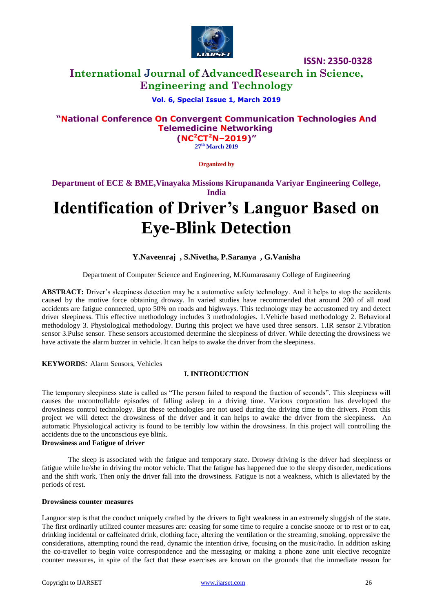

# **International Journal of AdvancedResearch in Science, Engineering and Technology**

## **Vol. 6, Special Issue 1, March 2019**

# **"National Conference On Convergent Communication Technologies And Telemedicine Networking**

**(NC<sup>2</sup>CT<sup>2</sup>N–2019)" 27 th March 2019**

**Organized by**

**Department of ECE & BME,Vinayaka Missions Kirupananda Variyar Engineering College, India**

# **Identification of Driver's Languor Based on Eye-Blink Detection**

#### **Y.Naveenraj , S.Nivetha, P.Saranya , G.Vanisha**

Department of Computer Science and Engineering, M.Kumarasamy College of Engineering

**ABSTRACT:** Driver's sleepiness detection may be a automotive safety technology. And it helps to stop the accidents caused by the motive force obtaining drowsy. In varied studies have recommended that around 200 of all road accidents are fatigue connected, upto 50% on roads and highways. This technology may be accustomed try and detect driver sleepiness. This effective methodology includes 3 methodologies. 1.Vehicle based methodology 2. Behavioral methodology 3. Physiological methodology. During this project we have used three sensors. 1.IR sensor 2.Vibration sensor 3.Pulse sensor. These sensors accustomed determine the sleepiness of driver. While detecting the drowsiness we have activate the alarm buzzer in vehicle. It can helps to awake the driver from the sleepiness.

**KEYWORDS***:* Alarm Sensors, Vehicles

#### **I. INTRODUCTION**

The temporary sleepiness state is called as "The person failed to respond the fraction of seconds". This sleepiness will causes the uncontrollable episodes of falling asleep in a driving time. Various corporation has developed the drowsiness control technology. But these technologies are not used during the driving time to the drivers. From this project we will detect the drowsiness of the driver and it can helps to awake the driver from the sleepiness. An automatic Physiological activity is found to be terribly low within the drowsiness. In this project will controlling the accidents due to the unconscious eye blink.

#### **Drowsiness and Fatigue of driver**

The sleep is associated with the fatigue and temporary state. Drowsy driving is the driver had sleepiness or fatigue while he/she in driving the motor vehicle. That the fatigue has happened due to the sleepy disorder, medications and the shift work. Then only the driver fall into the drowsiness. Fatigue is not a weakness, which is alleviated by the periods of rest.

#### **Drowsiness counter measures**

Languor step is that the conduct uniquely crafted by the drivers to fight weakness in an extremely sluggish of the state. The first ordinarily utilized counter measures are: ceasing for some time to require a concise snooze or to rest or to eat, drinking incidental or caffeinated drink, clothing face, altering the ventilation or the streaming, smoking, oppressive the considerations, attempting round the read, dynamic the intention drive, focusing on the music/radio. In addition asking the co-traveller to begin voice correspondence and the messaging or making a phone zone unit elective recognize counter measures, in spite of the fact that these exercises are known on the grounds that the immediate reason for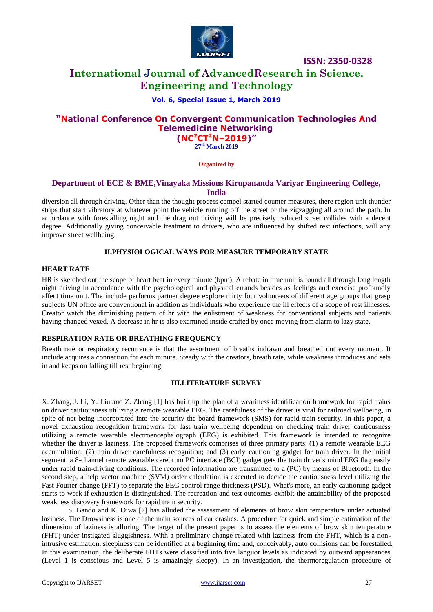

# **International Journal of AdvancedResearch in Science, Engineering and Technology**

#### **Vol. 6, Special Issue 1, March 2019**

## **"National Conference On Convergent Communication Technologies And Telemedicine Networking (NC<sup>2</sup>CT<sup>2</sup>N–2019)"**

**27 th March 2019**

**Organized by**

#### **Department of ECE & BME,Vinayaka Missions Kirupananda Variyar Engineering College, India**

diversion all through driving. Other than the thought process compel started counter measures, there region unit thunder strips that start vibratory at whatever point the vehicle running off the street or the zigzagging all around the path. In accordance with forestalling night and the drag out driving will be precisely reduced street collides with a decent degree. Additionally giving conceivable treatment to drivers, who are influenced by shifted rest infections, will any improve street wellbeing.

#### **II.PHYSIOLOGICAL WAYS FOR MEASURE TEMPORARY STATE**

#### **HEART RATE**

HR is sketched out the scope of heart beat in every minute (bpm). A rebate in time unit is found all through long length night driving in accordance with the psychological and physical errands besides as feelings and exercise profoundly affect time unit. The include performs partner degree explore thirty four volunteers of different age groups that grasp subjects UN office are conventional in addition as individuals who experience the ill effects of a scope of rest illnesses. Creator watch the diminishing pattern of hr with the enlistment of weakness for conventional subjects and patients having changed vexed. A decrease in hr is also examined inside crafted by once moving from alarm to lazy state.

#### **RESPIRATION RATE OR BREATHING FREQUENCY**

Breath rate or respiratory recurrence is that the assortment of breaths indrawn and breathed out every moment. It include acquires a connection for each minute. Steady with the creators, breath rate, while weakness introduces and sets in and keeps on falling till rest beginning.

#### **III.LITERATURE SURVEY**

X. Zhang, J. Li, Y. Liu and Z. Zhang [1] has built up the plan of a weariness identification framework for rapid trains on driver cautiousness utilizing a remote wearable EEG. The carefulness of the driver is vital for railroad wellbeing, in spite of not being incorporated into the security the board framework (SMS) for rapid train security. In this paper, a novel exhaustion recognition framework for fast train wellbeing dependent on checking train driver cautiousness utilizing a remote wearable electroencephalograph (EEG) is exhibited. This framework is intended to recognize whether the driver is laziness. The proposed framework comprises of three primary parts: (1) a remote wearable EEG accumulation; (2) train driver carefulness recognition; and (3) early cautioning gadget for train driver. In the initial segment, a 8-channel remote wearable cerebrum PC interface (BCI) gadget gets the train driver's mind EEG flag easily under rapid train-driving conditions. The recorded information are transmitted to a (PC) by means of Bluetooth. In the second step, a help vector machine (SVM) order calculation is executed to decide the cautiousness level utilizing the Fast Fourier change (FFT) to separate the EEG control range thickness (PSD). What's more, an early cautioning gadget starts to work if exhaustion is distinguished. The recreation and test outcomes exhibit the attainability of the proposed weakness discovery framework for rapid train security.

S. Bando and K. Oiwa [2] has alluded the assessment of elements of brow skin temperature under actuated laziness. The Drowsiness is one of the main sources of car crashes. A procedure for quick and simple estimation of the dimension of laziness is alluring. The target of the present paper is to assess the elements of brow skin temperature (FHT) under instigated sluggishness. With a preliminary change related with laziness from the FHT, which is a nonintrusive estimation, sleepiness can be identified at a beginning time and, conceivably, auto collisions can be forestalled. In this examination, the deliberate FHTs were classified into five languor levels as indicated by outward appearances (Level 1 is conscious and Level 5 is amazingly sleepy). In an investigation, the thermoregulation procedure of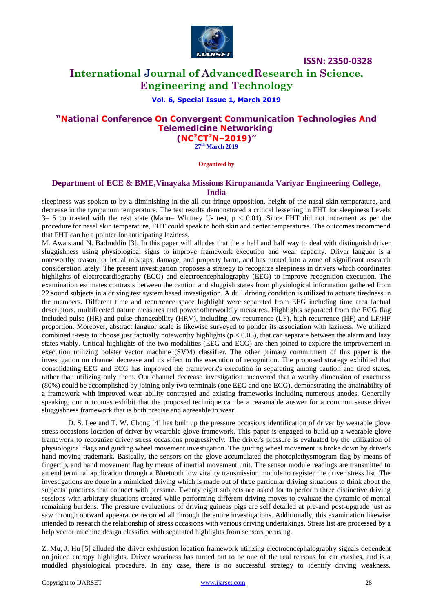

# **International Journal of AdvancedResearch in Science, Engineering and Technology**

#### **Vol. 6, Special Issue 1, March 2019**

# **"National Conference On Convergent Communication Technologies And Telemedicine Networking**

**(NC<sup>2</sup>CT<sup>2</sup>N–2019)" 27 th March 2019**

**Organized by**

### **Department of ECE & BME,Vinayaka Missions Kirupananda Variyar Engineering College, India**

sleepiness was spoken to by a diminishing in the all out fringe opposition, height of the nasal skin temperature, and decrease in the tympanum temperature. The test results demonstrated a critical lessening in FHT for sleepiness Levels  $3-5$  contrasted with the rest state (Mann– Whitney U– test,  $p < 0.01$ ). Since FHT did not increment as per the procedure for nasal skin temperature, FHT could speak to both skin and center temperatures. The outcomes recommend that FHT can be a pointer for anticipating laziness.

M. Awais and N. Badruddin [3], In this paper will alludes that the a half and half way to deal with distinguish driver sluggishness using physiological signs to improve framework execution and wear capacity. Driver languor is a noteworthy reason for lethal mishaps, damage, and property harm, and has turned into a zone of significant research consideration lately. The present investigation proposes a strategy to recognize sleepiness in drivers which coordinates highlights of electrocardiography (ECG) and electroencephalography (EEG) to improve recognition execution. The examination estimates contrasts between the caution and sluggish states from physiological information gathered from 22 sound subjects in a driving test system based investigation. A dull driving condition is utilized to actuate tiredness in the members. Different time and recurrence space highlight were separated from EEG including time area factual descriptors, multifaceted nature measures and power otherworldly measures. Highlights separated from the ECG flag included pulse (HR) and pulse changeability (HRV), including low recurrence (LF), high recurrence (HF) and LF/HF proportion. Moreover, abstract languor scale is likewise surveyed to ponder its association with laziness. We utilized combined t-tests to choose just factually noteworthy highlights ( $p < 0.05$ ), that can separate between the alarm and lazy states viably. Critical highlights of the two modalities (EEG and ECG) are then joined to explore the improvement in execution utilizing bolster vector machine (SVM) classifier. The other primary commitment of this paper is the investigation on channel decrease and its effect to the execution of recognition. The proposed strategy exhibited that consolidating EEG and ECG has improved the framework's execution in separating among caution and tired states, rather than utilizing only them. Our channel decrease investigation uncovered that a worthy dimension of exactness (80%) could be accomplished by joining only two terminals (one EEG and one ECG), demonstrating the attainability of a framework with improved wear ability contrasted and existing frameworks including numerous anodes. Generally speaking, our outcomes exhibit that the proposed technique can be a reasonable answer for a common sense driver sluggishness framework that is both precise and agreeable to wear.

D. S. Lee and T. W. Chong [4] has built up the pressure occasions identification of driver by wearable glove stress occasions location of driver by wearable glove framework. This paper is engaged to build up a wearable glove framework to recognize driver stress occasions progressively. The driver's pressure is evaluated by the utilization of physiological flags and guiding wheel movement investigation. The guiding wheel movement is broke down by driver's hand moving trademark. Basically, the sensors on the glove accumulated the photoplethysmogram flag by means of fingertip, and hand movement flag by means of inertial movement unit. The sensor module readings are transmitted to an end terminal application through a Bluetooth low vitality transmission module to register the driver stress list. The investigations are done in a mimicked driving which is made out of three particular driving situations to think about the subjects' practices that connect with pressure. Twenty eight subjects are asked for to perform three distinctive driving sessions with arbitrary situations created while performing different driving moves to evaluate the dynamic of mental remaining burdens. The pressure evaluations of driving guineas pigs are self detailed at pre-and post-upgrade just as saw through outward appearance recorded all through the entire investigations. Additionally, this examination likewise intended to research the relationship of stress occasions with various driving undertakings. Stress list are processed by a help vector machine design classifier with separated highlights from sensors perusing.

Z. Mu, J. Hu [5] alluded the driver exhaustion location framework utilizing electroencephalography signals dependent on joined entropy highlights. Driver weariness has turned out to be one of the real reasons for car crashes, and is a muddled physiological procedure. In any case, there is no successful strategy to identify driving weakness.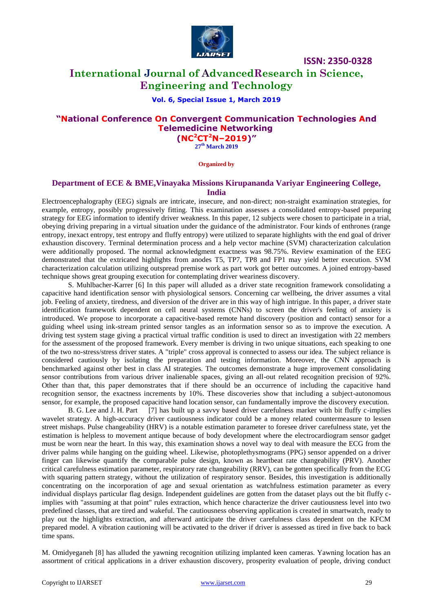

# **International Journal of AdvancedResearch in Science, Engineering and Technology**

#### **Vol. 6, Special Issue 1, March 2019**

## **"National Conference On Convergent Communication Technologies And Telemedicine Networking**

**(NC<sup>2</sup>CT<sup>2</sup>N–2019)" 27 th March 2019**

**Organized by**

#### **Department of ECE & BME,Vinayaka Missions Kirupananda Variyar Engineering College, India**

Electroencephalography (EEG) signals are intricate, insecure, and non-direct; non-straight examination strategies, for example, entropy, possibly progressively fitting. This examination assesses a consolidated entropy-based preparing strategy for EEG information to identify driver weakness. In this paper, 12 subjects were chosen to participate in a trial, obeying driving preparing in a virtual situation under the guidance of the administrator. Four kinds of enthrones (range entropy, inexact entropy, test entropy and fluffy entropy) were utilized to separate highlights with the end goal of driver exhaustion discovery. Terminal determination process and a help vector machine (SVM) characterization calculation were additionally proposed. The normal acknowledgment exactness was 98.75%. Review examination of the EEG demonstrated that the extricated highlights from anodes T5, TP7, TP8 and FP1 may yield better execution. SVM characterization calculation utilizing outspread premise work as part work got better outcomes. A joined entropy-based technique shows great grouping execution for contemplating driver weariness discovery.

S. Muhlbacher-Karrer [6] In this paper will alluded as a driver state recognition framework consolidating a capacitive hand identification sensor with physiological sensors. Concerning car wellbeing, the driver assumes a vital job. Feeling of anxiety, tiredness, and diversion of the driver are in this way of high intrigue. In this paper, a driver state identification framework dependent on cell neural systems (CNNs) to screen the driver's feeling of anxiety is introduced. We propose to incorporate a capacitive-based remote hand discovery (position and contact) sensor for a guiding wheel using ink-stream printed sensor tangles as an information sensor so as to improve the execution. A driving test system stage giving a practical virtual traffic condition is used to direct an investigation with 22 members for the assessment of the proposed framework. Every member is driving in two unique situations, each speaking to one of the two no-stress/stress driver states. A "triple" cross approval is connected to assess our idea. The subject reliance is considered cautiously by isolating the preparation and testing information. Moreover, the CNN approach is benchmarked against other best in class AI strategies. The outcomes demonstrate a huge improvement consolidating sensor contributions from various driver inalienable spaces, giving an all-out related recognition precision of 92%. Other than that, this paper demonstrates that if there should be an occurrence of including the capacitive hand recognition sensor, the exactness increments by 10%. These discoveries show that including a subject-autonomous sensor, for example, the proposed capacitive hand location sensor, can fundamentally improve the discovery execution.

B. G. Lee and J. H. Part [7] has built up a savvy based driver carefulness marker with bit fluffy c-implies wavelet strategy. A high-accuracy driver cautiousness indicator could be a money related countermeasure to lessen street mishaps. Pulse changeability (HRV) is a notable estimation parameter to foresee driver carefulness state, yet the estimation is helpless to movement antique because of body development where the electrocardiogram sensor gadget must be worn near the heart. In this way, this examination shows a novel way to deal with measure the ECG from the driver palms while hanging on the guiding wheel. Likewise, photoplethysmograms (PPG) sensor appended on a driver finger can likewise quantify the comparable pulse design, known as heartbeat rate changeability (PRV). Another critical carefulness estimation parameter, respiratory rate changeability (RRV), can be gotten specifically from the ECG with squaring pattern strategy, without the utilization of respiratory sensor. Besides, this investigation is additionally concentrating on the incorporation of age and sexual orientation as watchfulness estimation parameter as every individual displays particular flag design. Independent guidelines are gotten from the dataset plays out the bit fluffy cimplies with "assuming at that point" rules extraction, which hence characterize the driver cautiousness level into two predefined classes, that are tired and wakeful. The cautiousness observing application is created in smartwatch, ready to play out the highlights extraction, and afterward anticipate the driver carefulness class dependent on the KFCM prepared model. A vibration cautioning will be activated to the driver if driver is assessed as tired in five back to back time spans.

M. Omidyeganeh [8] has alluded the yawning recognition utilizing implanted keen cameras. Yawning location has an assortment of critical applications in a driver exhaustion discovery, prosperity evaluation of people, driving conduct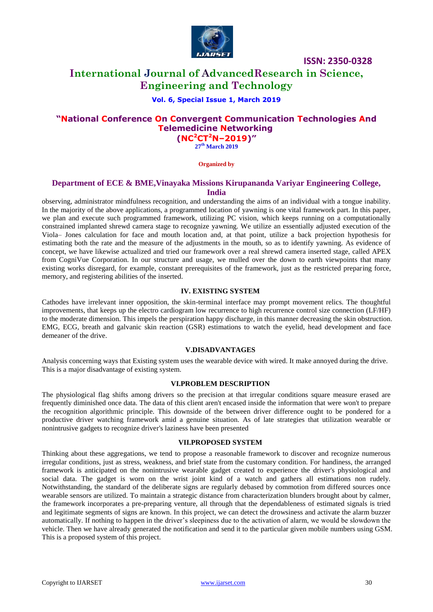

# **International Journal of AdvancedResearch in Science, Engineering and Technology**

#### **Vol. 6, Special Issue 1, March 2019**

# **"National Conference On Convergent Communication Technologies And Telemedicine Networking**

**(NC<sup>2</sup>CT<sup>2</sup>N–2019)" 27 th March 2019**

**Organized by**

### **Department of ECE & BME,Vinayaka Missions Kirupananda Variyar Engineering College, India**

observing, administrator mindfulness recognition, and understanding the aims of an individual with a tongue inability. In the majority of the above applications, a programmed location of yawning is one vital framework part. In this paper, we plan and execute such programmed framework, utilizing PC vision, which keeps running on a computationally constrained implanted shrewd camera stage to recognize yawning. We utilize an essentially adjusted execution of the Viola– Jones calculation for face and mouth location and, at that point, utilize a back projection hypothesis for estimating both the rate and the measure of the adjustments in the mouth, so as to identify yawning. As evidence of concept, we have likewise actualized and tried our framework over a real shrewd camera inserted stage, called APEX from CogniVue Corporation. In our structure and usage, we mulled over the down to earth viewpoints that many existing works disregard, for example, constant prerequisites of the framework, just as the restricted preparing force, memory, and registering abilities of the inserted.

#### **IV. EXISTING SYSTEM**

Cathodes have irrelevant inner opposition, the skin-terminal interface may prompt movement relics. The thoughtful improvements, that keeps up the electro cardiogram low recurrence to high recurrence control size connection (LF/HF) to the moderate dimension. This impels the perspiration happy discharge, in this manner decreasing the skin obstruction. EMG, ECG, breath and galvanic skin reaction (GSR) estimations to watch the eyelid, head development and face demeaner of the drive.

#### **V.DISADVANTAGES**

Analysis concerning ways that Existing system uses the wearable device with wired. It make annoyed during the drive. This is a major disadvantage of existing system.

#### **VI.PROBLEM DESCRIPTION**

The physiological flag shifts among drivers so the precision at that irregular conditions square measure erased are frequently diminished once data. The data of this client aren't encased inside the information that were won't to prepare the recognition algorithmic principle. This downside of the between driver difference ought to be pondered for a productive driver watching framework amid a genuine situation. As of late strategies that utilization wearable or nonintrusive gadgets to recognize driver's laziness have been presented

#### **VII.PROPOSED SYSTEM**

Thinking about these aggregations, we tend to propose a reasonable framework to discover and recognize numerous irregular conditions, just as stress, weakness, and brief state from the customary condition. For handiness, the arranged framework is anticipated on the nonintrusive wearable gadget created to experience the driver's physiological and social data. The gadget is worn on the wrist joint kind of a watch and gathers all estimations non rudely. Notwithstanding, the standard of the deliberate signs are regularly debased by commotion from differed sources once wearable sensors are utilized. To maintain a strategic distance from characterization blunders brought about by calmer, the framework incorporates a pre-preparing venture, all through that the dependableness of estimated signals is tried and legitimate segments of signs are known. In this project, we can detect the drowsiness and activate the alarm buzzer automatically. If nothing to happen in the driver's sleepiness due to the activation of alarm, we would be slowdown the vehicle. Then we have already generated the notification and send it to the particular given mobile numbers using GSM. This is a proposed system of this project.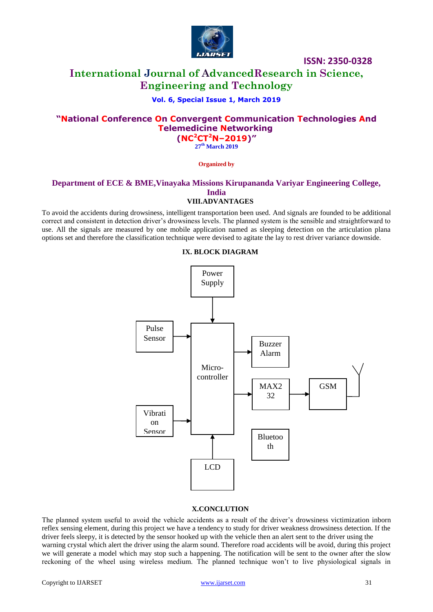

# **International Journal of AdvancedResearch in Science, Engineering and Technology**

### **Vol. 6, Special Issue 1, March 2019**

## **"National Conference On Convergent Communication Technologies And Telemedicine Networking (NC<sup>2</sup>CT<sup>2</sup>N–2019)"**

**27 th March 2019**

**Organized by**

#### **Department of ECE & BME,Vinayaka Missions Kirupananda Variyar Engineering College, India VIII.ADVANTAGES**

To avoid the accidents during drowsiness, intelligent transportation been used. And signals are founded to be additional correct and consistent in detection driver's drowsiness levels. The planned system is the sensible and straightforward to use. All the signals are measured by one mobile application named as sleeping detection on the articulation plana options set and therefore the classification technique were devised to agitate the lay to rest driver variance downside.

#### **IX. BLOCK DIAGRAM**



#### **X.CONCLUTION**

The planned system useful to avoid the vehicle accidents as a result of the driver's drowsiness victimization inborn reflex sensing element, during this project we have a tendency to study for driver weakness drowsiness detection. If the driver feels sleepy, it is detected by the sensor hooked up with the vehicle then an alert sent to the driver using the warning crystal which alert the driver using the alarm sound. Therefore road accidents will be avoid, during this project we will generate a model which may stop such a happening. The notification will be sent to the owner after the slow reckoning of the wheel using wireless medium. The planned technique won't to live physiological signals in